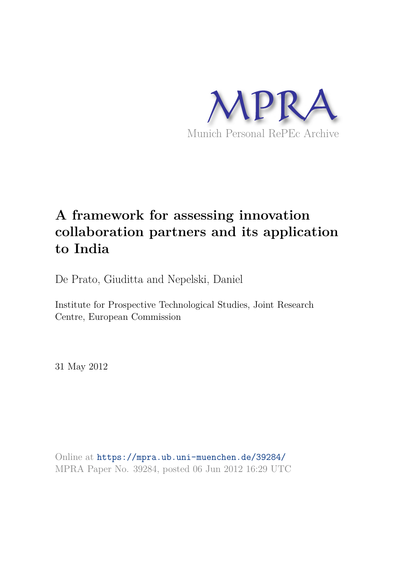

# **A framework for assessing innovation collaboration partners and its application to India**

De Prato, Giuditta and Nepelski, Daniel

Institute for Prospective Technological Studies, Joint Research Centre, European Commission

31 May 2012

Online at https://mpra.ub.uni-muenchen.de/39284/ MPRA Paper No. 39284, posted 06 Jun 2012 16:29 UTC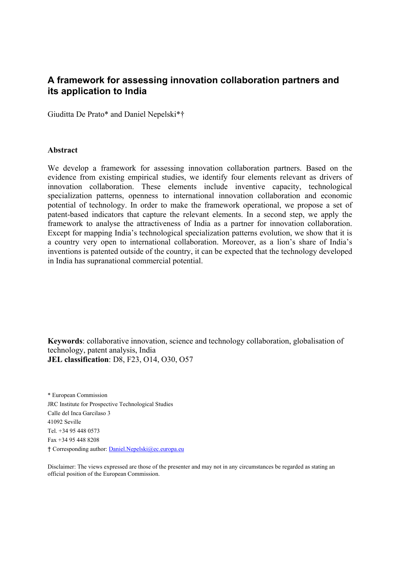# **A framework for assessing innovation collaboration partners and its application to India**

Giuditta De Prato\* and Daniel Nepelski\*†

#### **Abstract**

We develop a framework for assessing innovation collaboration partners. Based on the evidence from existing empirical studies, we identify four elements relevant as drivers of innovation collaboration. These elements include inventive capacity, technological specialization patterns, openness to international innovation collaboration and economic potential of technology. In order to make the framework operational, we propose a set of patent-based indicators that capture the relevant elements. In a second step, we apply the framework to analyse the attractiveness of India as a partner for innovation collaboration. Except for mapping India's technological specialization patterns evolution, we show that it is a country very open to international collaboration. Moreover, as a lion's share of India's inventions is patented outside of the country, it can be expected that the technology developed in India has supranational commercial potential.

**Keywords**: collaborative innovation, science and technology collaboration, globalisation of technology, patent analysis, India **JEL classification**: D8, F23, O14, O30, O57

\* European Commission JRC Institute for Prospective Technological Studies Calle del Inca Garcilaso 3 41092 Seville Tel. +34 95 448 0573 Fax +34 95 448 8208 † Corresponding author: Daniel.Nepelski@ec.europa.eu

Disclaimer: The views expressed are those of the presenter and may not in any circumstances be regarded as stating an official position of the European Commission.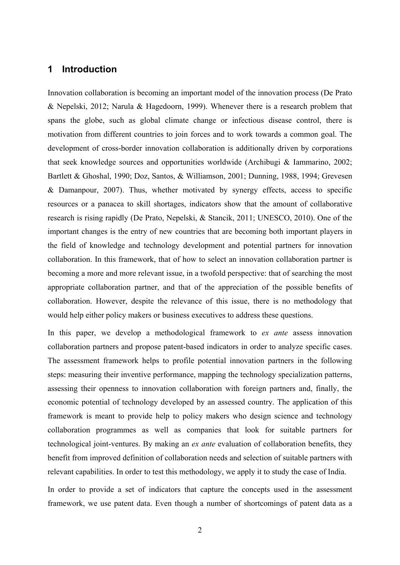### **1 Introduction**

Innovation collaboration is becoming an important model of the innovation process (De Prato & Nepelski, 2012; Narula & Hagedoorn, 1999). Whenever there is a research problem that spans the globe, such as global climate change or infectious disease control, there is motivation from different countries to join forces and to work towards a common goal. The development of cross-border innovation collaboration is additionally driven by corporations that seek knowledge sources and opportunities worldwide (Archibugi & Iammarino, 2002; Bartlett & Ghoshal, 1990; Doz, Santos, & Williamson, 2001; Dunning, 1988, 1994; Grevesen & Damanpour, 2007). Thus, whether motivated by synergy effects, access to specific resources or a panacea to skill shortages, indicators show that the amount of collaborative research is rising rapidly (De Prato, Nepelski, & Stancik, 2011; UNESCO, 2010). One of the important changes is the entry of new countries that are becoming both important players in the field of knowledge and technology development and potential partners for innovation collaboration. In this framework, that of how to select an innovation collaboration partner is becoming a more and more relevant issue, in a twofold perspective: that of searching the most appropriate collaboration partner, and that of the appreciation of the possible benefits of collaboration. However, despite the relevance of this issue, there is no methodology that would help either policy makers or business executives to address these questions.

In this paper, we develop a methodological framework to *ex ante* assess innovation collaboration partners and propose patent-based indicators in order to analyze specific cases. The assessment framework helps to profile potential innovation partners in the following steps: measuring their inventive performance, mapping the technology specialization patterns, assessing their openness to innovation collaboration with foreign partners and, finally, the economic potential of technology developed by an assessed country. The application of this framework is meant to provide help to policy makers who design science and technology collaboration programmes as well as companies that look for suitable partners for technological joint-ventures. By making an *ex ante* evaluation of collaboration benefits, they benefit from improved definition of collaboration needs and selection of suitable partners with relevant capabilities. In order to test this methodology, we apply it to study the case of India.

In order to provide a set of indicators that capture the concepts used in the assessment framework, we use patent data. Even though a number of shortcomings of patent data as a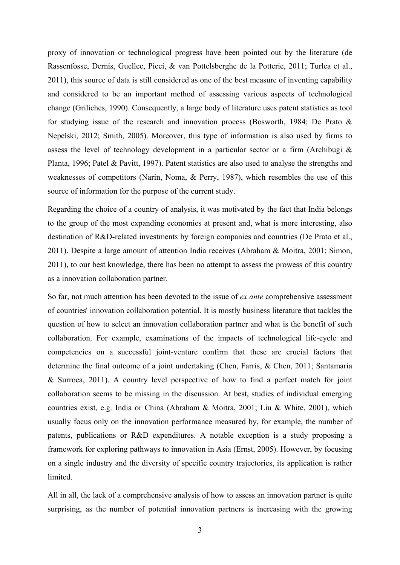proxy of innovation or technological progress have been pointed out by the literature (de Rassenfosse, Dernis, Guellec, Picci, & van Pottelsberghe de la Potterie, 2011; Turlea et al., 2011), this source of data is still considered as one of the best measure of inventing capability and considered to be an important method of assessing various aspects of technological change (Griliches, 1990). Consequently, a large body of literature uses patent statistics as tool for studying issue of the research and innovation process (Bosworth, 1984; De Prato & Nepelski, 2012; Smith, 2005). Moreover, this type of information is also used by firms to assess the level of technology development in a particular sector or a firm (Archibugi & Planta, 1996; Patel & Pavitt, 1997). Patent statistics are also used to analyse the strengths and weaknesses of competitors (Narin, Noma, & Perry, 1987), which resembles the use of this source of information for the purpose of the current study.

Regarding the choice of a country of analysis, it was motivated by the fact that India belongs to the group of the most expanding economies at present and, what is more interesting, also destination of R&D-related investments by foreign companies and countries (De Prato et al., 2011). Despite a large amount of attention India receives (Abraham & Moitra, 2001; Simon, 2011), to our best knowledge, there has been no attempt to assess the prowess of this country as a innovation collaboration partner.

So far, not much attention has been devoted to the issue of *ex ante* comprehensive assessment of countries' innovation collaboration potential. It is mostly business literature that tackles the question of how to select an innovation collaboration partner and what is the benefit of such collaboration. For example, examinations of the impacts of technological life-cycle and competencies on a successful joint-venture confirm that these are crucial factors that determine the final outcome of a joint undertaking (Chen, Farris, & Chen, 2011; Santamaria & Surroca, 2011). A country level perspective of how to find a perfect match for joint collaboration seems to be missing in the discussion. At best, studies of individual emerging countries exist, e.g. India or China (Abraham & Moitra, 2001; Liu & White, 2001), which usually focus only on the innovation performance measured by, for example, the number of patents, publications or R&D expenditures. A notable exception is a study proposing a framework for exploring pathways to innovation in Asia (Ernst, 2005). However, by focusing on a single industry and the diversity of specific country trajectories, its application is rather **limited** 

All in all, the lack of a comprehensive analysis of how to assess an innovation partner is quite surprising, as the number of potential innovation partners is increasing with the growing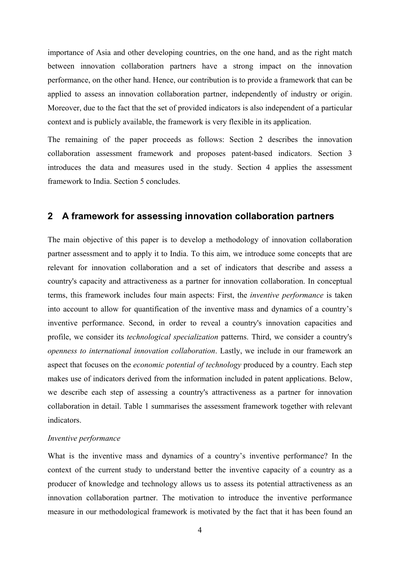importance of Asia and other developing countries, on the one hand, and as the right match between innovation collaboration partners have a strong impact on the innovation performance, on the other hand. Hence, our contribution is to provide a framework that can be applied to assess an innovation collaboration partner, independently of industry or origin. Moreover, due to the fact that the set of provided indicators is also independent of a particular context and is publicly available, the framework is very flexible in its application.

The remaining of the paper proceeds as follows: Section 2 describes the innovation collaboration assessment framework and proposes patent-based indicators. Section 3 introduces the data and measures used in the study. Section 4 applies the assessment framework to India. Section 5 concludes.

### **2 A framework for assessing innovation collaboration partners**

The main objective of this paper is to develop a methodology of innovation collaboration partner assessment and to apply it to India. To this aim, we introduce some concepts that are relevant for innovation collaboration and a set of indicators that describe and assess a country's capacity and attractiveness as a partner for innovation collaboration. In conceptual terms, this framework includes four main aspects: First, the *inventive performance* is taken into account to allow for quantification of the inventive mass and dynamics of a country's inventive performance. Second, in order to reveal a country's innovation capacities and profile, we consider its *technological specialization* patterns. Third, we consider a country's *openness to international innovation collaboration*. Lastly, we include in our framework an aspect that focuses on the *economic potential of technology* produced by a country. Each step makes use of indicators derived from the information included in patent applications. Below, we describe each step of assessing a country's attractiveness as a partner for innovation collaboration in detail. Table 1 summarises the assessment framework together with relevant indicators.

#### *Inventive performance*

What is the inventive mass and dynamics of a country's inventive performance? In the context of the current study to understand better the inventive capacity of a country as a producer of knowledge and technology allows us to assess its potential attractiveness as an innovation collaboration partner. The motivation to introduce the inventive performance measure in our methodological framework is motivated by the fact that it has been found an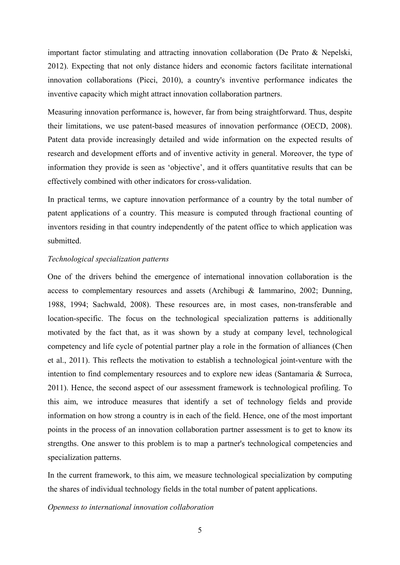important factor stimulating and attracting innovation collaboration (De Prato & Nepelski, 2012). Expecting that not only distance hiders and economic factors facilitate international innovation collaborations (Picci, 2010), a country's inventive performance indicates the inventive capacity which might attract innovation collaboration partners.

Measuring innovation performance is, however, far from being straightforward. Thus, despite their limitations, we use patent-based measures of innovation performance (OECD, 2008). Patent data provide increasingly detailed and wide information on the expected results of research and development efforts and of inventive activity in general. Moreover, the type of information they provide is seen as 'objective', and it offers quantitative results that can be effectively combined with other indicators for cross-validation.

In practical terms, we capture innovation performance of a country by the total number of patent applications of a country. This measure is computed through fractional counting of inventors residing in that country independently of the patent office to which application was submitted.

#### *Technological specialization patterns*

One of the drivers behind the emergence of international innovation collaboration is the access to complementary resources and assets (Archibugi & Iammarino, 2002; Dunning, 1988, 1994; Sachwald, 2008). These resources are, in most cases, non-transferable and location-specific. The focus on the technological specialization patterns is additionally motivated by the fact that, as it was shown by a study at company level, technological competency and life cycle of potential partner play a role in the formation of alliances (Chen et al., 2011). This reflects the motivation to establish a technological joint-venture with the intention to find complementary resources and to explore new ideas (Santamaria & Surroca, 2011). Hence, the second aspect of our assessment framework is technological profiling. To this aim, we introduce measures that identify a set of technology fields and provide information on how strong a country is in each of the field. Hence, one of the most important points in the process of an innovation collaboration partner assessment is to get to know its strengths. One answer to this problem is to map a partner's technological competencies and specialization patterns.

In the current framework, to this aim, we measure technological specialization by computing the shares of individual technology fields in the total number of patent applications.

#### *Openness to international innovation collaboration*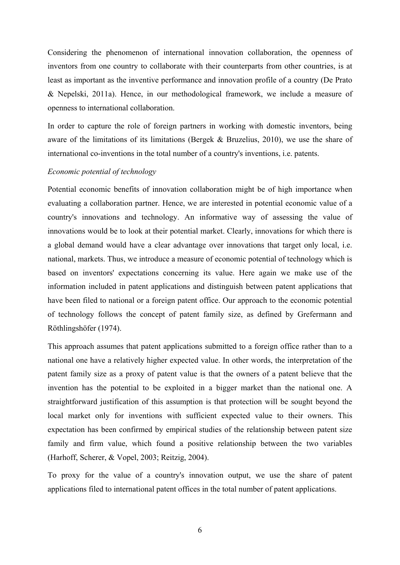Considering the phenomenon of international innovation collaboration, the openness of inventors from one country to collaborate with their counterparts from other countries, is at least as important as the inventive performance and innovation profile of a country (De Prato & Nepelski, 2011a). Hence, in our methodological framework, we include a measure of openness to international collaboration.

In order to capture the role of foreign partners in working with domestic inventors, being aware of the limitations of its limitations (Bergek & Bruzelius, 2010), we use the share of international co-inventions in the total number of a country's inventions, i.e. patents.

#### *Economic potential of technology*

Potential economic benefits of innovation collaboration might be of high importance when evaluating a collaboration partner. Hence, we are interested in potential economic value of a country's innovations and technology. An informative way of assessing the value of innovations would be to look at their potential market. Clearly, innovations for which there is a global demand would have a clear advantage over innovations that target only local, i.e. national, markets. Thus, we introduce a measure of economic potential of technology which is based on inventors' expectations concerning its value. Here again we make use of the information included in patent applications and distinguish between patent applications that have been filed to national or a foreign patent office. Our approach to the economic potential of technology follows the concept of patent family size, as defined by Grefermann and Röthlingshöfer (1974).

This approach assumes that patent applications submitted to a foreign office rather than to a national one have a relatively higher expected value. In other words, the interpretation of the patent family size as a proxy of patent value is that the owners of a patent believe that the invention has the potential to be exploited in a bigger market than the national one. A straightforward justification of this assumption is that protection will be sought beyond the local market only for inventions with sufficient expected value to their owners. This expectation has been confirmed by empirical studies of the relationship between patent size family and firm value, which found a positive relationship between the two variables (Harhoff, Scherer, & Vopel, 2003; Reitzig, 2004).

To proxy for the value of a country's innovation output, we use the share of patent applications filed to international patent offices in the total number of patent applications.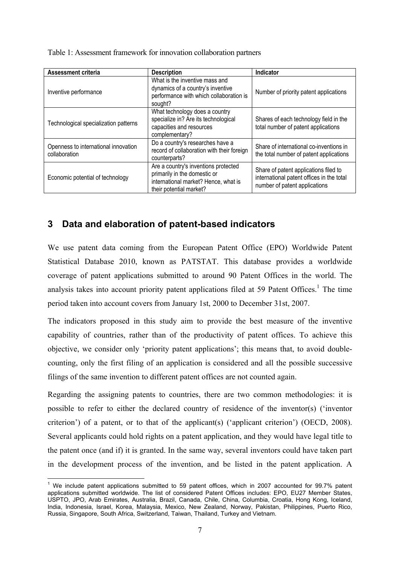| Table 1: Assessment framework for innovation collaboration partners |  |  |  |
|---------------------------------------------------------------------|--|--|--|

| <b>Assessment criteria</b>                            | <b>Description</b>                                                                                                                      | Indicator                                                                                                           |
|-------------------------------------------------------|-----------------------------------------------------------------------------------------------------------------------------------------|---------------------------------------------------------------------------------------------------------------------|
| Inventive performance                                 | What is the inventive mass and<br>dynamics of a country's inventive<br>performance with which collaboration is<br>sought?               | Number of priority patent applications                                                                              |
| Technological specialization patterns                 | What technology does a country<br>specialize in? Are its technological<br>capacities and resources<br>complementary?                    | Shares of each technology field in the<br>total number of patent applications                                       |
| Openness to international innovation<br>collaboration | Do a country's researches have a<br>record of collaboration with their foreign<br>counterparts?                                         | Share of international co-inventions in<br>the total number of patent applications                                  |
| Economic potential of technology                      | Are a country's inventions protected<br>primarily in the domestic or<br>international market? Hence, what is<br>their potential market? | Share of patent applications filed to<br>international patent offices in the total<br>number of patent applications |

# **3 Data and elaboration of patent-based indicators**

We use patent data coming from the European Patent Office (EPO) Worldwide Patent Statistical Database 2010, known as PATSTAT. This database provides a worldwide coverage of patent applications submitted to around 90 Patent Offices in the world. The analysis takes into account priority patent applications filed at 59 Patent Offices.<sup>1</sup> The time period taken into account covers from January 1st, 2000 to December 31st, 2007.

The indicators proposed in this study aim to provide the best measure of the inventive capability of countries, rather than of the productivity of patent offices. To achieve this objective, we consider only 'priority patent applications'; this means that, to avoid doublecounting, only the first filing of an application is considered and all the possible successive filings of the same invention to different patent offices are not counted again.

Regarding the assigning patents to countries, there are two common methodologies: it is possible to refer to either the declared country of residence of the inventor(s) ('inventor criterion') of a patent, or to that of the applicant(s) ('applicant criterion') (OECD, 2008). Several applicants could hold rights on a patent application, and they would have legal title to the patent once (and if) it is granted. In the same way, several inventors could have taken part in the development process of the invention, and be listed in the patent application. A

 1 We include patent applications submitted to 59 patent offices, which in 2007 accounted for 99.7% patent applications submitted worldwide. The list of considered Patent Offices includes: EPO, EU27 Member States, USPTO, JPO, Arab Emirates, Australia, Brazil, Canada, Chile, China, Columbia, Croatia, Hong Kong, Iceland, India, Indonesia, Israel, Korea, Malaysia, Mexico, New Zealand, Norway, Pakistan, Philippines, Puerto Rico, Russia, Singapore, South Africa, Switzerland, Taiwan, Thailand, Turkey and Vietnam.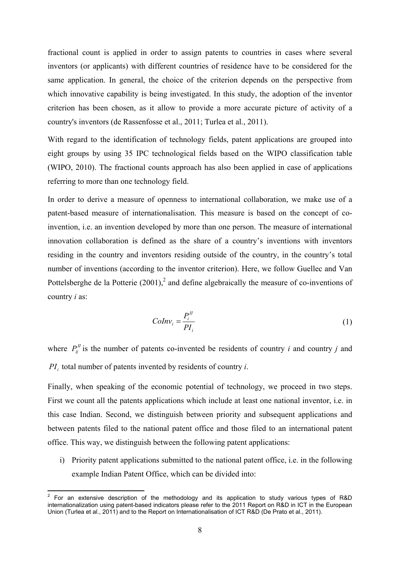fractional count is applied in order to assign patents to countries in cases where several inventors (or applicants) with different countries of residence have to be considered for the same application. In general, the choice of the criterion depends on the perspective from which innovative capability is being investigated. In this study, the adoption of the inventor criterion has been chosen, as it allow to provide a more accurate picture of activity of a country's inventors (de Rassenfosse et al., 2011; Turlea et al., 2011).

With regard to the identification of technology fields, patent applications are grouped into eight groups by using 35 IPC technological fields based on the WIPO classification table (WIPO, 2010). The fractional counts approach has also been applied in case of applications referring to more than one technology field.

In order to derive a measure of openness to international collaboration, we make use of a patent-based measure of internationalisation. This measure is based on the concept of coinvention, i.e. an invention developed by more than one person. The measure of international innovation collaboration is defined as the share of a country's inventions with inventors residing in the country and inventors residing outside of the country, in the country's total number of inventions (according to the inventor criterion). Here, we follow Guellec and Van Pottelsberghe de la Potterie  $(2001)$ , and define algebraically the measure of co-inventions of country *i* as:

$$
Colnv_i = \frac{P_i^{\{I\}}}{PI_i}
$$
\n<sup>(1)</sup>

where  $P_{ii}^H$  is the number of patents co-invented be residents of country *i* and country *j* and *PI<sup>i</sup>* total number of patents invented by residents of country *i*.

Finally, when speaking of the economic potential of technology, we proceed in two steps. First we count all the patents applications which include at least one national inventor, i.e. in this case Indian. Second, we distinguish between priority and subsequent applications and between patents filed to the national patent office and those filed to an international patent office. This way, we distinguish between the following patent applications:

i) Priority patent applications submitted to the national patent office, i.e. in the following example Indian Patent Office, which can be divided into:

 $\overline{a}$ 

<sup>2</sup> For an extensive description of the methodology and its application to study various types of R&D internationalization using patent-based indicators please refer to the 2011 Report on R&D in ICT in the European Union (Turlea et al., 2011) and to the Report on Internationalisation of ICT R&D (De Prato et al., 2011).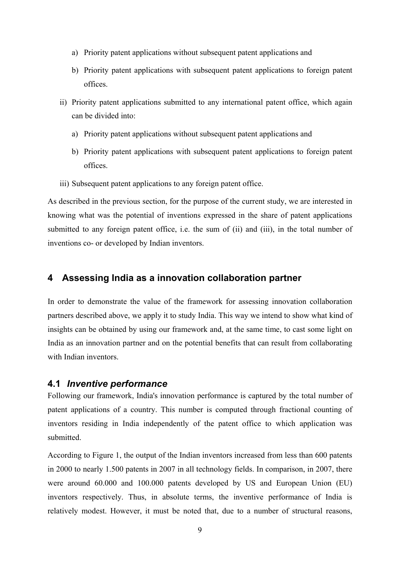- a) Priority patent applications without subsequent patent applications and
- b) Priority patent applications with subsequent patent applications to foreign patent offices.
- ii) Priority patent applications submitted to any international patent office, which again can be divided into:
	- a) Priority patent applications without subsequent patent applications and
	- b) Priority patent applications with subsequent patent applications to foreign patent offices.
- iii) Subsequent patent applications to any foreign patent office.

As described in the previous section, for the purpose of the current study, we are interested in knowing what was the potential of inventions expressed in the share of patent applications submitted to any foreign patent office, i.e. the sum of (ii) and (iii), in the total number of inventions co- or developed by Indian inventors.

### **4 Assessing India as a innovation collaboration partner**

In order to demonstrate the value of the framework for assessing innovation collaboration partners described above, we apply it to study India. This way we intend to show what kind of insights can be obtained by using our framework and, at the same time, to cast some light on India as an innovation partner and on the potential benefits that can result from collaborating with Indian inventors.

### **4.1** *Inventive performance*

Following our framework, India's innovation performance is captured by the total number of patent applications of a country. This number is computed through fractional counting of inventors residing in India independently of the patent office to which application was submitted.

According to Figure 1, the output of the Indian inventors increased from less than 600 patents in 2000 to nearly 1.500 patents in 2007 in all technology fields. In comparison, in 2007, there were around 60.000 and 100.000 patents developed by US and European Union (EU) inventors respectively. Thus, in absolute terms, the inventive performance of India is relatively modest. However, it must be noted that, due to a number of structural reasons,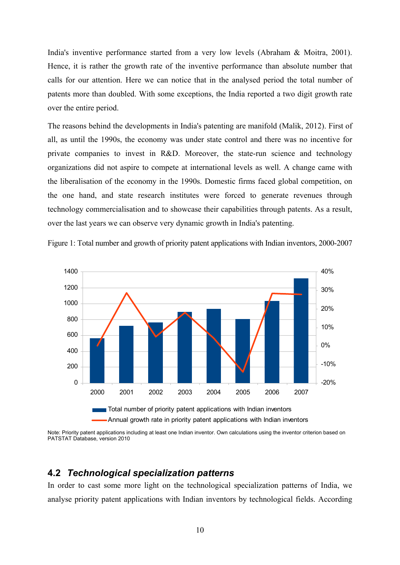India's inventive performance started from a very low levels (Abraham & Moitra, 2001). Hence, it is rather the growth rate of the inventive performance than absolute number that calls for our attention. Here we can notice that in the analysed period the total number of patents more than doubled. With some exceptions, the India reported a two digit growth rate over the entire period.

The reasons behind the developments in India's patenting are manifold (Malik, 2012). First of all, as until the 1990s, the economy was under state control and there was no incentive for private companies to invest in R&D. Moreover, the state-run science and technology organizations did not aspire to compete at international levels as well. A change came with the liberalisation of the economy in the 1990s. Domestic firms faced global competition, on the one hand, and state research institutes were forced to generate revenues through technology commercialisation and to showcase their capabilities through patents. As a result, over the last years we can observe very dynamic growth in India's patenting.

Figure 1: Total number and growth of priority patent applications with Indian inventors, 2000-2007



Note: Priority patent applications including at least one Indian inventor. Own calculations using the inventor criterion based on PATSTAT Database, version 2010

### **4.2** *Technological specialization patterns*

In order to cast some more light on the technological specialization patterns of India, we analyse priority patent applications with Indian inventors by technological fields. According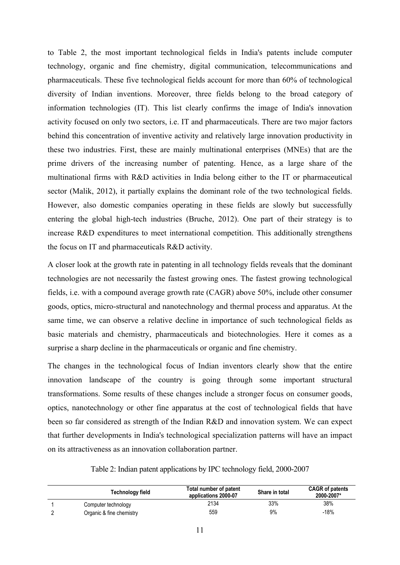to Table 2, the most important technological fields in India's patents include computer technology, organic and fine chemistry, digital communication, telecommunications and pharmaceuticals. These five technological fields account for more than 60% of technological diversity of Indian inventions. Moreover, three fields belong to the broad category of information technologies (IT). This list clearly confirms the image of India's innovation activity focused on only two sectors, i.e. IT and pharmaceuticals. There are two major factors behind this concentration of inventive activity and relatively large innovation productivity in these two industries. First, these are mainly multinational enterprises (MNEs) that are the prime drivers of the increasing number of patenting. Hence, as a large share of the multinational firms with R&D activities in India belong either to the IT or pharmaceutical sector (Malik, 2012), it partially explains the dominant role of the two technological fields. However, also domestic companies operating in these fields are slowly but successfully entering the global high-tech industries (Bruche, 2012). One part of their strategy is to increase R&D expenditures to meet international competition. This additionally strengthens the focus on IT and pharmaceuticals R&D activity.

A closer look at the growth rate in patenting in all technology fields reveals that the dominant technologies are not necessarily the fastest growing ones. The fastest growing technological fields, i.e. with a compound average growth rate (CAGR) above 50%, include other consumer goods, optics, micro-structural and nanotechnology and thermal process and apparatus. At the same time, we can observe a relative decline in importance of such technological fields as basic materials and chemistry, pharmaceuticals and biotechnologies. Here it comes as a surprise a sharp decline in the pharmaceuticals or organic and fine chemistry.

The changes in the technological focus of Indian inventors clearly show that the entire innovation landscape of the country is going through some important structural transformations. Some results of these changes include a stronger focus on consumer goods, optics, nanotechnology or other fine apparatus at the cost of technological fields that have been so far considered as strength of the Indian R&D and innovation system. We can expect that further developments in India's technological specialization patterns will have an impact on its attractiveness as an innovation collaboration partner.

Table 2: Indian patent applications by IPC technology field, 2000-2007

| Technology field         | Total number of patent<br>applications 2000-07 | Share in total | <b>CAGR of patents</b><br>2000-2007* |
|--------------------------|------------------------------------------------|----------------|--------------------------------------|
| Computer technology      | 2134                                           | 33%            | 38%                                  |
| Organic & fine chemistry | 559                                            | 9%             | $-18%$                               |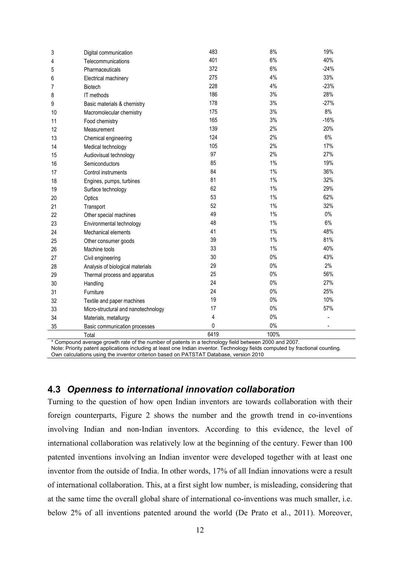| 3  | Digital communication                                                                                | 483  | 8%    | 19%                      |
|----|------------------------------------------------------------------------------------------------------|------|-------|--------------------------|
| 4  | Telecommunications                                                                                   | 401  | 6%    | 40%                      |
| 5  | Pharmaceuticals                                                                                      | 372  | 6%    | $-24%$                   |
| 6  | Electrical machinery                                                                                 | 275  | 4%    | 33%                      |
| 7  | <b>Biotech</b>                                                                                       | 228  | 4%    | $-23%$                   |
| 8  | IT methods                                                                                           | 186  | 3%    | 28%                      |
| 9  | Basic materials & chemistry                                                                          | 178  | 3%    | $-27%$                   |
| 10 | Macromolecular chemistry                                                                             | 175  | 3%    | 8%                       |
| 11 | Food chemistry                                                                                       | 165  | 3%    | $-16%$                   |
| 12 | Measurement                                                                                          | 139  | 2%    | 20%                      |
| 13 | Chemical engineering                                                                                 | 124  | 2%    | 6%                       |
| 14 | Medical technology                                                                                   | 105  | 2%    | 17%                      |
| 15 | Audiovisual technology                                                                               | 97   | 2%    | 27%                      |
| 16 | Semiconductors                                                                                       | 85   | 1%    | 19%                      |
| 17 | Control instruments                                                                                  | 84   | $1\%$ | 36%                      |
| 18 | Engines, pumps, turbines                                                                             | 81   | 1%    | 32%                      |
| 19 | Surface technology                                                                                   | 62   | 1%    | 29%                      |
| 20 | Optics                                                                                               | 53   | $1\%$ | 62%                      |
| 21 | Transport                                                                                            | 52   | 1%    | 32%                      |
| 22 | Other special machines                                                                               | 49   | 1%    | $0\%$                    |
| 23 | Environmental technology                                                                             | 48   | 1%    | 6%                       |
| 24 | Mechanical elements                                                                                  | 41   | 1%    | 48%                      |
| 25 | Other consumer goods                                                                                 | 39   | 1%    | 81%                      |
| 26 | Machine tools                                                                                        | 33   | 1%    | 40%                      |
| 27 | Civil engineering                                                                                    | 30   | $0\%$ | 43%                      |
| 28 | Analysis of biological materials                                                                     | 29   | 0%    | 2%                       |
| 29 | Thermal process and apparatus                                                                        | 25   | 0%    | 56%                      |
| 30 | Handling                                                                                             | 24   | $0\%$ | 27%                      |
| 31 | Furniture                                                                                            | 24   | $0\%$ | 25%                      |
| 32 | Textile and paper machines                                                                           | 19   | $0\%$ | 10%                      |
| 33 | Micro-structural and nanotechnology                                                                  | 17   | $0\%$ | 57%                      |
| 34 | Materials, metallurgy                                                                                | 4    | $0\%$ |                          |
| 35 | Basic communication processes                                                                        | 0    | $0\%$ | $\overline{\phantom{a}}$ |
|    | Total                                                                                                | 6419 | 100%  |                          |
|    | * Compound average growth rate of the number of patents in a technology field between 2000 and 2007. |      |       |                          |

Note: Priority patent applications including at least one Indian inventor. Technology fields computed by fractional counting. Own calculations using the inventor criterion based on PATSTAT Database, version 2010

# **4.3** *Openness to international innovation collaboration*

Turning to the question of how open Indian inventors are towards collaboration with their foreign counterparts, Figure 2 shows the number and the growth trend in co-inventions involving Indian and non-Indian inventors. According to this evidence, the level of international collaboration was relatively low at the beginning of the century. Fewer than 100 patented inventions involving an Indian inventor were developed together with at least one inventor from the outside of India. In other words, 17% of all Indian innovations were a result of international collaboration. This, at a first sight low number, is misleading, considering that at the same time the overall global share of international co-inventions was much smaller, i.e. below 2% of all inventions patented around the world (De Prato et al., 2011). Moreover,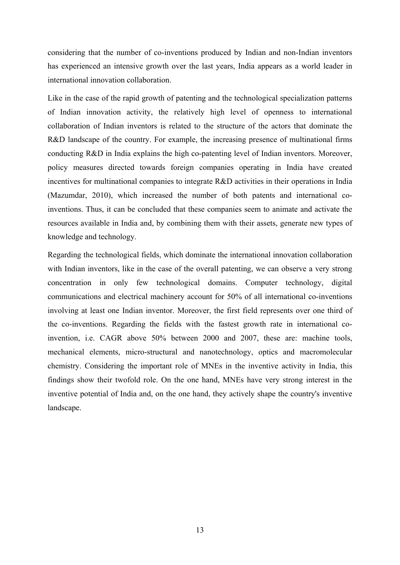considering that the number of co-inventions produced by Indian and non-Indian inventors has experienced an intensive growth over the last years, India appears as a world leader in international innovation collaboration.

Like in the case of the rapid growth of patenting and the technological specialization patterns of Indian innovation activity, the relatively high level of openness to international collaboration of Indian inventors is related to the structure of the actors that dominate the R&D landscape of the country. For example, the increasing presence of multinational firms conducting R&D in India explains the high co-patenting level of Indian inventors. Moreover, policy measures directed towards foreign companies operating in India have created incentives for multinational companies to integrate R&D activities in their operations in India (Mazumdar, 2010), which increased the number of both patents and international coinventions. Thus, it can be concluded that these companies seem to animate and activate the resources available in India and, by combining them with their assets, generate new types of knowledge and technology.

Regarding the technological fields, which dominate the international innovation collaboration with Indian inventors, like in the case of the overall patenting, we can observe a very strong concentration in only few technological domains. Computer technology, digital communications and electrical machinery account for 50% of all international co-inventions involving at least one Indian inventor. Moreover, the first field represents over one third of the co-inventions. Regarding the fields with the fastest growth rate in international coinvention, i.e. CAGR above 50% between 2000 and 2007, these are: machine tools, mechanical elements, micro-structural and nanotechnology, optics and macromolecular chemistry. Considering the important role of MNEs in the inventive activity in India, this findings show their twofold role. On the one hand, MNEs have very strong interest in the inventive potential of India and, on the one hand, they actively shape the country's inventive landscape.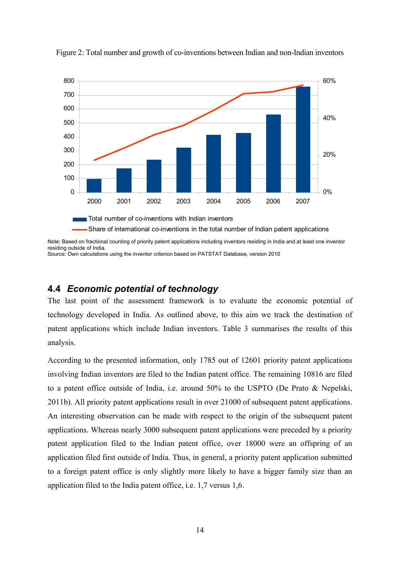

Figure 2: Total number and growth of co-inventions between Indian and non-Indian inventors

Note: Based on fractional counting of priority patent applications including inventors residing in India and at least one inventor residing outside of India.

Source: Own calculations using the inventor criterion based on PATSTAT Database, version 2010

# **4.4** *Economic potential of technology*

The last point of the assessment framework is to evaluate the economic potential of technology developed in India. As outlined above, to this aim we track the destination of patent applications which include Indian inventors. Table 3 summarises the results of this analysis.

According to the presented information, only 1785 out of 12601 priority patent applications involving Indian inventors are filed to the Indian patent office. The remaining 10816 are filed to a patent office outside of India, i.e. around 50% to the USPTO (De Prato & Nepelski, 2011b). All priority patent applications result in over 21000 of subsequent patent applications. An interesting observation can be made with respect to the origin of the subsequent patent applications. Whereas nearly 3000 subsequent patent applications were preceded by a priority patent application filed to the Indian patent office, over 18000 were an offspring of an application filed first outside of India. Thus, in general, a priority patent application submitted to a foreign patent office is only slightly more likely to have a bigger family size than an application filed to the India patent office, i.e. 1,7 versus 1,6.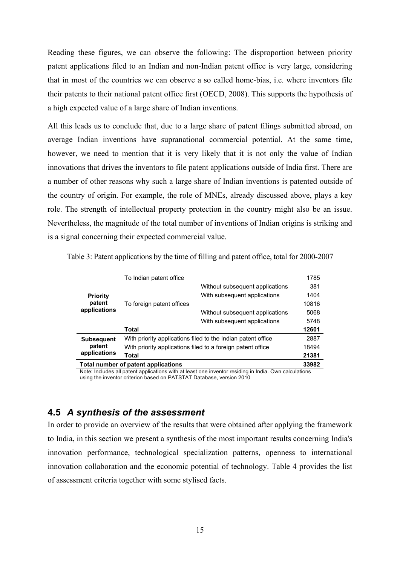Reading these figures, we can observe the following: The disproportion between priority patent applications filed to an Indian and non-Indian patent office is very large, considering that in most of the countries we can observe a so called home-bias, i.e. where inventors file their patents to their national patent office first (OECD, 2008). This supports the hypothesis of a high expected value of a large share of Indian inventions.

All this leads us to conclude that, due to a large share of patent filings submitted abroad, on average Indian inventions have supranational commercial potential. At the same time, however, we need to mention that it is very likely that it is not only the value of Indian innovations that drives the inventors to file patent applications outside of India first. There are a number of other reasons why such a large share of Indian inventions is patented outside of the country of origin. For example, the role of MNEs, already discussed above, plays a key role. The strength of intellectual property protection in the country might also be an issue. Nevertheless, the magnitude of the total number of inventions of Indian origins is striking and is a signal concerning their expected commercial value.

|                                                                                                       | To Indian patent office                                     |                                                              | 1785  |
|-------------------------------------------------------------------------------------------------------|-------------------------------------------------------------|--------------------------------------------------------------|-------|
|                                                                                                       |                                                             | Without subsequent applications                              | 381   |
| <b>Priority</b>                                                                                       |                                                             | With subsequent applications                                 | 1404  |
| patent<br>applications                                                                                | To foreign patent offices                                   |                                                              | 10816 |
|                                                                                                       |                                                             | Without subsequent applications                              | 5068  |
|                                                                                                       |                                                             | With subsequent applications                                 | 5748  |
|                                                                                                       | <b>Total</b>                                                |                                                              | 12601 |
| <b>Subsequent</b>                                                                                     |                                                             | With priority applications filed to the Indian patent office | 2887  |
| patent                                                                                                | With priority applications filed to a foreign patent office |                                                              | 18494 |
| applications                                                                                          | <b>Total</b>                                                |                                                              | 21381 |
| Total number of patent applications                                                                   |                                                             |                                                              | 33982 |
| Note: Includes all patent applications with at least one inventor residing in India. Own calculations |                                                             |                                                              |       |
| using the inventor criterion based on PATSTAT Database, version 2010                                  |                                                             |                                                              |       |

Table 3: Patent applications by the time of filling and patent office, total for 2000-2007

# **4.5** *A synthesis of the assessment*

In order to provide an overview of the results that were obtained after applying the framework to India, in this section we present a synthesis of the most important results concerning India's innovation performance, technological specialization patterns, openness to international innovation collaboration and the economic potential of technology. Table 4 provides the list of assessment criteria together with some stylised facts.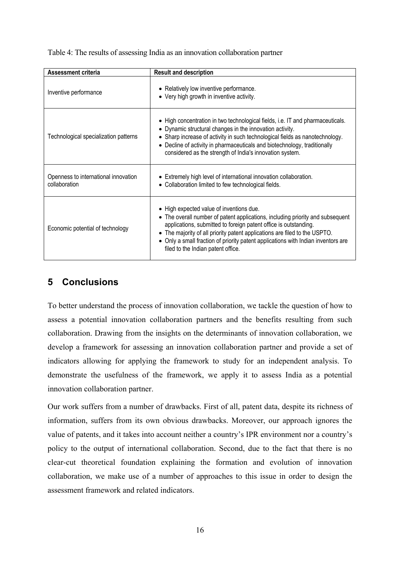| Assessment criteria                                   | <b>Result and description</b>                                                                                                                                                                                                                                                                                                                                                                                      |
|-------------------------------------------------------|--------------------------------------------------------------------------------------------------------------------------------------------------------------------------------------------------------------------------------------------------------------------------------------------------------------------------------------------------------------------------------------------------------------------|
| Inventive performance                                 | • Relatively low inventive performance.<br>• Very high growth in inventive activity.                                                                                                                                                                                                                                                                                                                               |
| Technological specialization patterns                 | • High concentration in two technological fields, i.e. IT and pharmaceuticals.<br>• Dynamic structural changes in the innovation activity.<br>• Sharp increase of activity in such technological fields as nanotechnology.<br>• Decline of activity in pharmaceuticals and biotechnology, traditionally<br>considered as the strength of India's innovation system.                                                |
| Openness to international innovation<br>collaboration | • Extremely high level of international innovation collaboration.<br>• Collaboration limited to few technological fields.                                                                                                                                                                                                                                                                                          |
| Economic potential of technology                      | • High expected value of inventions due.<br>• The overall number of patent applications, including priority and subsequent<br>applications, submitted to foreign patent office is outstanding.<br>The majority of all priority patent applications are filed to the USPTO.<br>$\bullet$<br>• Only a small fraction of priority patent applications with Indian inventors are<br>filed to the Indian patent office. |

Table 4: The results of assessing India as an innovation collaboration partner

# **5 Conclusions**

To better understand the process of innovation collaboration, we tackle the question of how to assess a potential innovation collaboration partners and the benefits resulting from such collaboration. Drawing from the insights on the determinants of innovation collaboration, we develop a framework for assessing an innovation collaboration partner and provide a set of indicators allowing for applying the framework to study for an independent analysis. To demonstrate the usefulness of the framework, we apply it to assess India as a potential innovation collaboration partner.

Our work suffers from a number of drawbacks. First of all, patent data, despite its richness of information, suffers from its own obvious drawbacks. Moreover, our approach ignores the value of patents, and it takes into account neither a country's IPR environment nor a country's policy to the output of international collaboration. Second, due to the fact that there is no clear-cut theoretical foundation explaining the formation and evolution of innovation collaboration, we make use of a number of approaches to this issue in order to design the assessment framework and related indicators.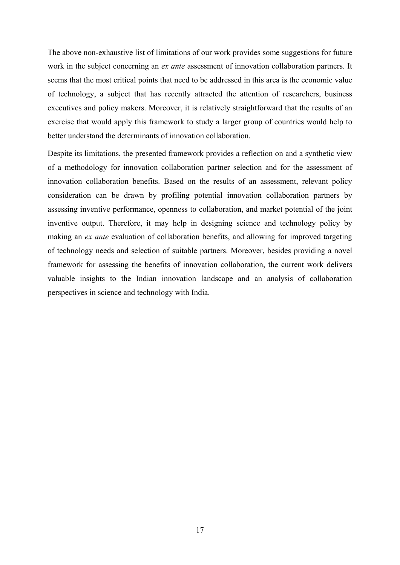The above non-exhaustive list of limitations of our work provides some suggestions for future work in the subject concerning an *ex ante* assessment of innovation collaboration partners. It seems that the most critical points that need to be addressed in this area is the economic value of technology, a subject that has recently attracted the attention of researchers, business executives and policy makers. Moreover, it is relatively straightforward that the results of an exercise that would apply this framework to study a larger group of countries would help to better understand the determinants of innovation collaboration.

Despite its limitations, the presented framework provides a reflection on and a synthetic view of a methodology for innovation collaboration partner selection and for the assessment of innovation collaboration benefits. Based on the results of an assessment, relevant policy consideration can be drawn by profiling potential innovation collaboration partners by assessing inventive performance, openness to collaboration, and market potential of the joint inventive output. Therefore, it may help in designing science and technology policy by making an *ex ante* evaluation of collaboration benefits, and allowing for improved targeting of technology needs and selection of suitable partners. Moreover, besides providing a novel framework for assessing the benefits of innovation collaboration, the current work delivers valuable insights to the Indian innovation landscape and an analysis of collaboration perspectives in science and technology with India.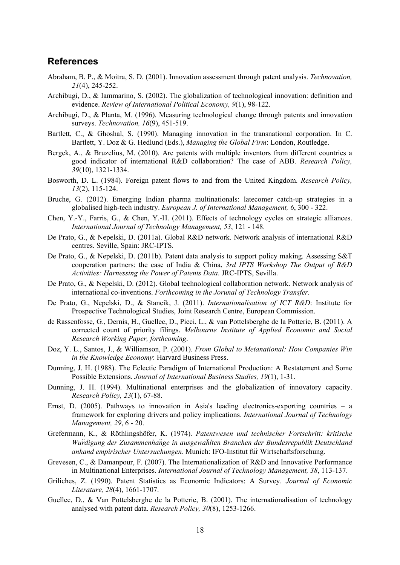### **References**

- Abraham, B. P., & Moitra, S. D. (2001). Innovation assessment through patent analysis. *Technovation, 21*(4), 245-252.
- Archibugi, D., & Iammarino, S. (2002). The globalization of technological innovation: definition and evidence. *Review of International Political Economy, 9*(1), 98-122.
- Archibugi, D., & Planta, M. (1996). Measuring technological change through patents and innovation surveys. *Technovation, 16*(9), 451-519.
- Bartlett, C., & Ghoshal, S. (1990). Managing innovation in the transnational corporation. In C. Bartlett, Y. Doz & G. Hedlund (Eds.), *Managing the Global Firm*: London, Routledge.
- Bergek, A., & Bruzelius, M. (2010). Are patents with multiple inventors from different countries a good indicator of international R&D collaboration? The case of ABB. *Research Policy, 39*(10), 1321-1334.
- Bosworth, D. L. (1984). Foreign patent flows to and from the United Kingdom. *Research Policy, 13*(2), 115-124.
- Bruche, G. (2012). Emerging Indian pharma multinationals: latecomer catch-up strategies in a globalised high-tech industry. *European J. of International Management, 6*, 300 - 322.
- Chen, Y.-Y., Farris, G., & Chen, Y.-H. (2011). Effects of technology cycles on strategic alliances. *International Journal of Technology Management, 53*, 121 - 148.
- De Prato, G., & Nepelski, D. (2011a). Global R&D network. Network analysis of international R&D centres. Seville, Spain: JRC-IPTS.
- De Prato, G., & Nepelski, D. (2011b). Patent data analysis to support policy making. Assessing S&T cooperation partners: the case of India & China, *3rd IPTS Workshop The Output of R&D Activities: Harnessing the Power of Patents Data*. JRC-IPTS, Sevilla.
- De Prato, G., & Nepelski, D. (2012). Global technological collaboration network. Network analysis of international co-inventions. *Forthcoming in the Jorunal of Technology Transfer*.
- De Prato, G., Nepelski, D., & Stancik, J. (2011). *Internationalisation of ICT R&D*: Institute for Prospective Technological Studies, Joint Research Centre, European Commission.
- de Rassenfosse, G., Dernis, H., Guellec, D., Picci, L., & van Pottelsberghe de la Potterie, B. (2011). A corrected count of priority filings. *Melbourne Institute of Applied Economic and Social Research Working Paper, forthcoming*.
- Doz, Y. L., Santos, J., & Williamson, P. (2001). *From Global to Metanational: How Companies Win in the Knowledge Economy*: Harvard Business Press.
- Dunning, J. H. (1988). The Eclectic Paradigm of International Production: A Restatement and Some Possible Extensions. *Journal of International Business Studies, 19*(1), 1-31.
- Dunning, J. H. (1994). Multinational enterprises and the globalization of innovatory capacity. *Research Policy, 23*(1), 67-88.
- Ernst, D. (2005). Pathways to innovation in Asia's leading electronics-exporting countries a framework for exploring drivers and policy implications. *International Journal of Technology Management, 29*, 6 - 20.
- Grefermann, K., & Röthlingshöfer, K. (1974). *Patentwesen und technischer Fortschritt: kritische Wu*̈*rdigung der Zusammenha*̈*nge in ausgewa*̈*hlten Branchen der Bundesrepublik Deutschland anhand empirischer Untersuchungen*. Munich: IFO-Institut für Wirtschaftsforschung.
- Grevesen, C., & Damanpour, F. (2007). The Internationalization of R&D and Innovative Performance in Multinational Enterprises. *International Journal of Technology Management, 38*, 113-137.
- Griliches, Z. (1990). Patent Statistics as Economic Indicators: A Survey. *Journal of Economic Literature, 28*(4), 1661-1707.
- Guellec, D., & Van Pottelsberghe de la Potterie, B. (2001). The internationalisation of technology analysed with patent data. *Research Policy, 30*(8), 1253-1266.